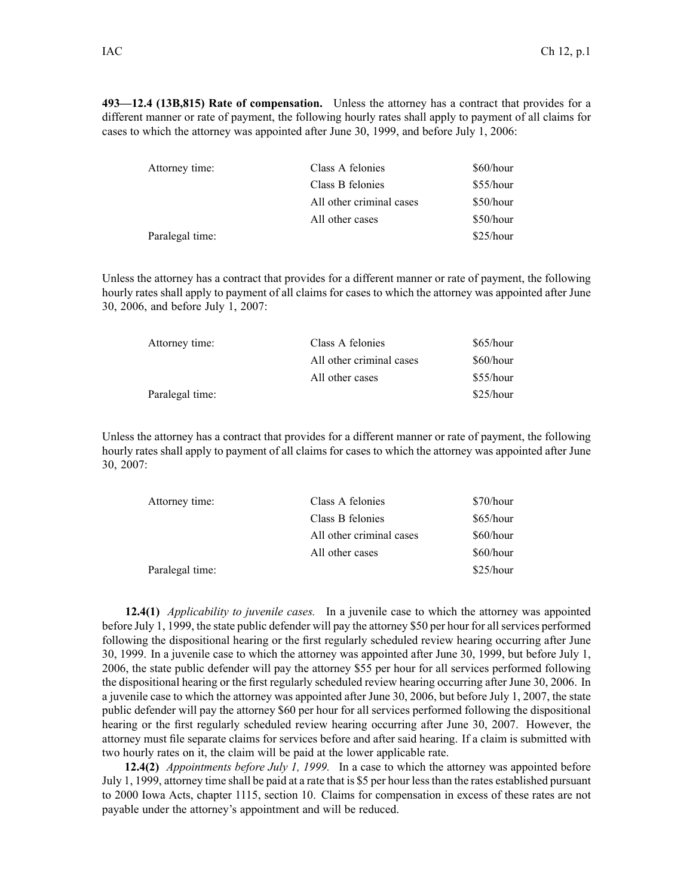**493—12.4 (13B,815) Rate of compensation.** Unless the attorney has <sup>a</sup> contract that provides for <sup>a</sup> different manner or rate of payment, the following hourly rates shall apply to paymen<sup>t</sup> of all claims for cases to which the attorney was appointed after June 30, 1999, and before July 1, 2006:

| Attorney time:  | Class A felonies         | \$60/hour |
|-----------------|--------------------------|-----------|
|                 | Class B felonies         | \$55/hour |
|                 | All other criminal cases | \$50/hour |
|                 | All other cases          | \$50/hour |
| Paralegal time: |                          | \$25/hour |

Unless the attorney has <sup>a</sup> contract that provides for <sup>a</sup> different manner or rate of payment, the following hourly rates shall apply to paymen<sup>t</sup> of all claims for cases to which the attorney was appointed after June 30, 2006, and before July 1, 2007:

| Attorney time:  | Class A felonies         | $$65/h$ our |
|-----------------|--------------------------|-------------|
|                 | All other criminal cases | \$60/hour   |
|                 | All other cases          | $$55/h$ our |
| Paralegal time: |                          | $$25/h$ our |

Unless the attorney has <sup>a</sup> contract that provides for <sup>a</sup> different manner or rate of payment, the following hourly rates shall apply to paymen<sup>t</sup> of all claims for cases to which the attorney was appointed after June 30, 2007:

| Attorney time:  | Class A felonies         | \$70/hour |
|-----------------|--------------------------|-----------|
|                 | Class B felonies         | \$65/hour |
|                 | All other criminal cases | \$60/hour |
|                 | All other cases          | \$60/hour |
| Paralegal time: |                          | \$25/hour |

**12.4(1)** *Applicability to juvenile cases.* In <sup>a</sup> juvenile case to which the attorney was appointed before July 1, 1999, the state public defender will pay the attorney \$50 per hour for all services performed following the dispositional hearing or the first regularly scheduled review hearing occurring after June 30, 1999. In <sup>a</sup> juvenile case to which the attorney was appointed after June 30, 1999, but before July 1, 2006, the state public defender will pay the attorney \$55 per hour for all services performed following the dispositional hearing or the first regularly scheduled review hearing occurring after June 30, 2006. In <sup>a</sup> juvenile case to which the attorney was appointed after June 30, 2006, but before July 1, 2007, the state public defender will pay the attorney \$60 per hour for all services performed following the dispositional hearing or the first regularly scheduled review hearing occurring after June 30, 2007. However, the attorney must file separate claims for services before and after said hearing. If <sup>a</sup> claim is submitted with two hourly rates on it, the claim will be paid at the lower applicable rate.

**12.4(2)** *Appointments before July 1, 1999.* In <sup>a</sup> case to which the attorney was appointed before July 1, 1999, attorney time shall be paid at <sup>a</sup> rate that is \$5 per hour lessthan the rates established pursuan<sup>t</sup> to 2000 Iowa Acts, chapter 1115, section 10. Claims for compensation in excess of these rates are not payable under the attorney's appointment and will be reduced.